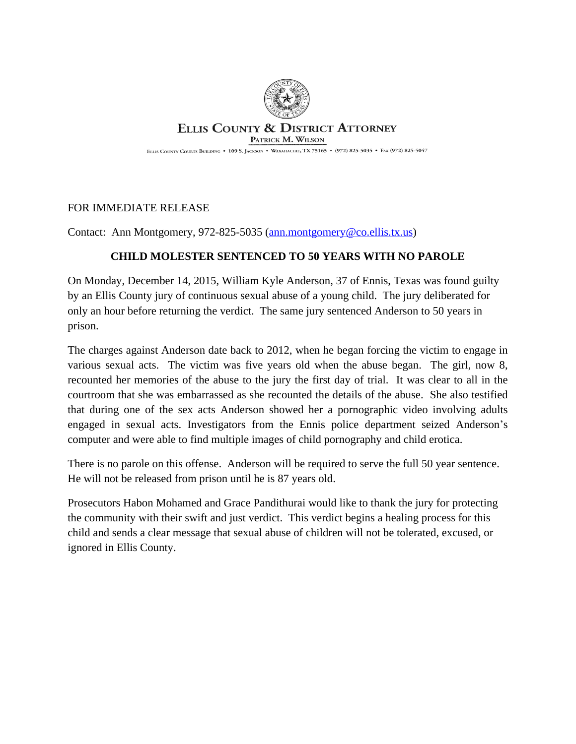

## **ELLIS COUNTY & DISTRICT ATTORNEY** PATRICK M. WILSON

ELLIS COUNTY COURTS BUILDING . 109 S. JACKSON . WAXAHACHIE, TX 75165 . (972) 825-5035 . FAX (972) 825-5047

## FOR IMMEDIATE RELEASE

Contact: Ann Montgomery, 972-825-5035 ([ann.montgomery@co.ellis.tx.us](mailto:ann.montgomery@co.ellis.tx.us))

## **CHILD MOLESTER SENTENCED TO 50 YEARS WITH NO PAROLE**

On Monday, December 14, 2015, William Kyle Anderson, 37 of Ennis, Texas was found guilty by an Ellis County jury of continuous sexual abuse of a young child. The jury deliberated for only an hour before returning the verdict. The same jury sentenced Anderson to 50 years in prison.

The charges against Anderson date back to 2012, when he began forcing the victim to engage in various sexual acts. The victim was five years old when the abuse began. The girl, now 8, recounted her memories of the abuse to the jury the first day of trial. It was clear to all in the courtroom that she was embarrassed as she recounted the details of the abuse. She also testified that during one of the sex acts Anderson showed her a pornographic video involving adults engaged in sexual acts. Investigators from the Ennis police department seized Anderson's computer and were able to find multiple images of child pornography and child erotica.

There is no parole on this offense. Anderson will be required to serve the full 50 year sentence. He will not be released from prison until he is 87 years old.

Prosecutors Habon Mohamed and Grace Pandithurai would like to thank the jury for protecting the community with their swift and just verdict. This verdict begins a healing process for this child and sends a clear message that sexual abuse of children will not be tolerated, excused, or ignored in Ellis County.